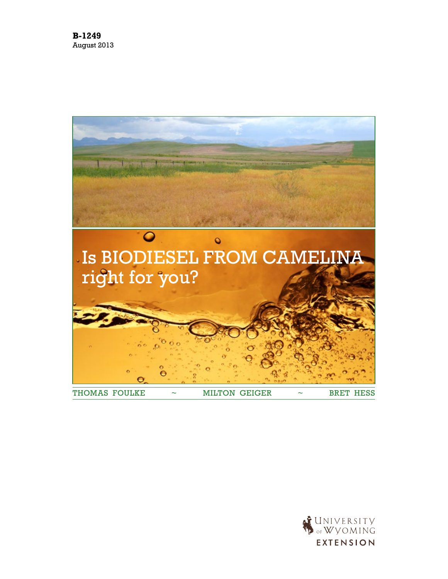

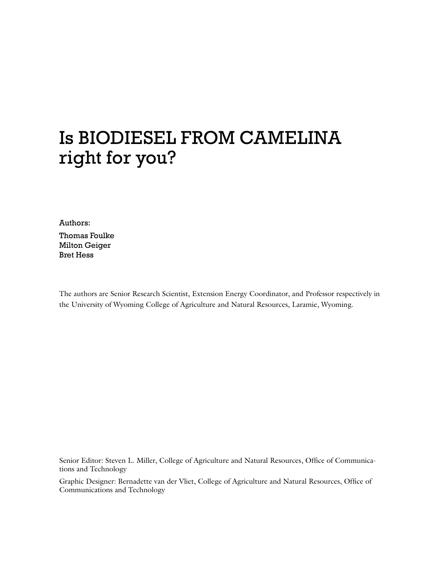# Is Biodiesel from Camelina right for you?

Authors:

Thomas Foulke Milton Geiger Bret Hess

The authors are Senior Research Scientist, Extension Energy Coordinator, and Professor respectively in the University of Wyoming College of Agriculture and Natural Resources, Laramie, Wyoming.

Senior Editor: Steven L. Miller, College of Agriculture and Natural Resources, Office of Communications and Technology

Graphic Designer: Bernadette van der Vliet, College of Agriculture and Natural Resources, Office of Communications and Technology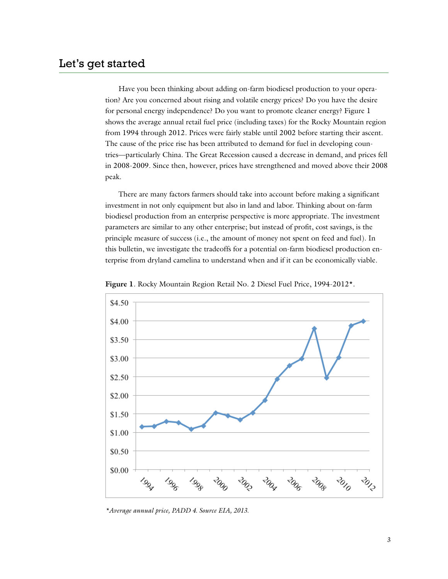Have you been thinking about adding on-farm biodiesel production to your operation? Are you concerned about rising and volatile energy prices? Do you have the desire for personal energy independence? Do you want to promote cleaner energy? Figure 1 shows the average annual retail fuel price (including taxes) for the Rocky Mountain region from 1994 through 2012. Prices were fairly stable until 2002 before starting their ascent. The cause of the price rise has been attributed to demand for fuel in developing countries—particularly China. The Great Recession caused a decrease in demand, and prices fell in 2008-2009. Since then, however, prices have strengthened and moved above their 2008 peak.

There are many factors farmers should take into account before making a significant investment in not only equipment but also in land and labor. Thinking about on-farm biodiesel production from an enterprise perspective is more appropriate. The investment parameters are similar to any other enterprise; but instead of profit, cost savings, is the principle measure of success (i.e., the amount of money not spent on feed and fuel). In this bulletin, we investigate the tradeoffs for a potential on-farm biodiesel production enterprise from dryland camelina to understand when and if it can be economically viable.



**Figure 1**. Rocky Mountain Region Retail No. 2 Diesel Fuel Price, 1994-2012\*.

*\*Average annual price, PADD 4. Source EIA, 2013*.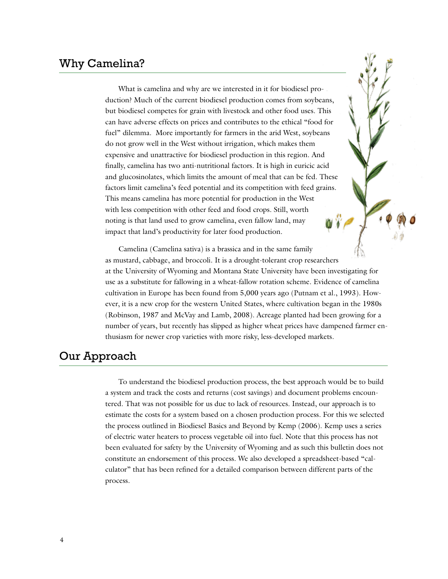What is camelina and why are we interested in it for biodiesel production? Much of the current biodiesel production comes from soybeans, but biodiesel competes for grain with livestock and other food uses. This can have adverse effects on prices and contributes to the ethical "food for fuel" dilemma. More importantly for farmers in the arid West, soybeans do not grow well in the West without irrigation, which makes them expensive and unattractive for biodiesel production in this region. And finally, camelina has two anti-nutritional factors. It is high in euricic acid and glucosinolates, which limits the amount of meal that can be fed. These factors limit camelina's feed potential and its competition with feed grains. This means camelina has more potential for production in the West with less competition with other feed and food crops. Still, worth noting is that land used to grow camelina, even fallow land, may impact that land's productivity for later food production.

Camelina (Camelina sativa) is a brassica and in the same family as mustard, cabbage, and broccoli. It is a drought-tolerant crop researchers at the University of Wyoming and Montana State University have been investigating for use as a substitute for fallowing in a wheat-fallow rotation scheme. Evidence of camelina cultivation in Europe has been found from 5,000 years ago (Putnam et al., 1993). However, it is a new crop for the western United States, where cultivation began in the 1980s (Robinson, 1987 and McVay and Lamb, 2008). Acreage planted had been growing for a number of years, but recently has slipped as higher wheat prices have dampened farmer enthusiasm for newer crop varieties with more risky, less-developed markets.

## Our Approach

To understand the biodiesel production process, the best approach would be to build a system and track the costs and returns (cost savings) and document problems encountered. That was not possible for us due to lack of resources. Instead, our approach is to estimate the costs for a system based on a chosen production process. For this we selected the process outlined in Biodiesel Basics and Beyond by Kemp (2006). Kemp uses a series of electric water heaters to process vegetable oil into fuel. Note that this process has not been evaluated for safety by the University of Wyoming and as such this bulletin does not constitute an endorsement of this process. We also developed a spreadsheet-based "calculator" that has been refined for a detailed comparison between different parts of the process.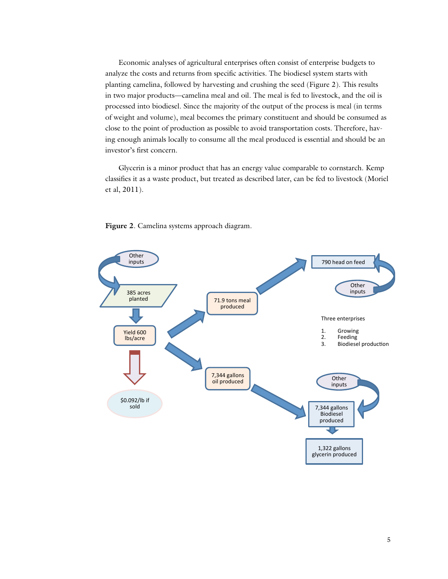Economic analyses of agricultural enterprises often consist of enterprise budgets to analyze the costs and returns from specific activities. The biodiesel system starts with planting camelina, followed by harvesting and crushing the seed (Figure 2). This results in two major products—camelina meal and oil. The meal is fed to livestock, and the oil is processed into biodiesel. Since the majority of the output of the process is meal (in terms of weight and volume), meal becomes the primary constituent and should be consumed as close to the point of production as possible to avoid transportation costs. Therefore, having enough animals locally to consume all the meal produced is essential and should be an investor's first concern.

Glycerin is a minor product that has an energy value comparable to cornstarch. Kemp classifies it as a waste product, but treated as described later, can be fed to livestock (Moriel et al, 2011).



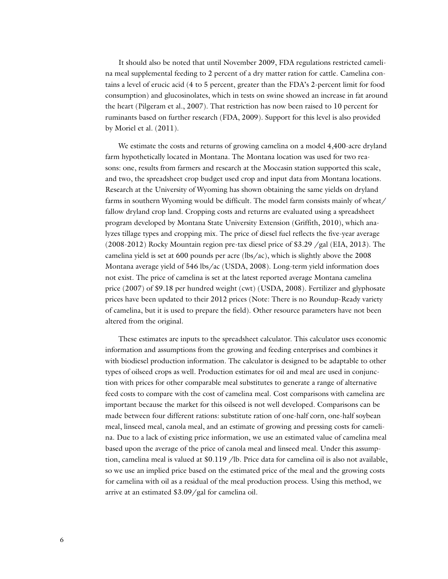It should also be noted that until November 2009, FDA regulations restricted camelina meal supplemental feeding to 2 percent of a dry matter ration for cattle. Camelina contains a level of erucic acid (4 to 5 percent, greater than the FDA's 2-percent limit for food consumption) and glucosinolates, which in tests on swine showed an increase in fat around the heart (Pilgeram et al., 2007). That restriction has now been raised to 10 percent for ruminants based on further research (FDA, 2009). Support for this level is also provided by Moriel et al. (2011).

We estimate the costs and returns of growing camelina on a model 4,400-acre dryland farm hypothetically located in Montana. The Montana location was used for two reasons: one, results from farmers and research at the Moccasin station supported this scale, and two, the spreadsheet crop budget used crop and input data from Montana locations. Research at the University of Wyoming has shown obtaining the same yields on dryland farms in southern Wyoming would be difficult. The model farm consists mainly of wheat/ fallow dryland crop land. Cropping costs and returns are evaluated using a spreadsheet program developed by Montana State University Extension (Griffith, 2010), which analyzes tillage types and cropping mix. The price of diesel fuel reflects the five-year average (2008-2012) Rocky Mountain region pre-tax diesel price of \$3.29 /gal (EIA, 2013). The camelina yield is set at 600 pounds per acre (lbs/ac), which is slightly above the 2008 Montana average yield of 546 lbs/ac (USDA, 2008). Long-term yield information does not exist. The price of camelina is set at the latest reported average Montana camelina price (2007) of \$9.18 per hundred weight (cwt) (USDA, 2008). Fertilizer and glyphosate prices have been updated to their 2012 prices (Note: There is no Roundup-Ready variety of camelina, but it is used to prepare the field). Other resource parameters have not been altered from the original.

These estimates are inputs to the spreadsheet calculator. This calculator uses economic information and assumptions from the growing and feeding enterprises and combines it with biodiesel production information. The calculator is designed to be adaptable to other types of oilseed crops as well. Production estimates for oil and meal are used in conjunction with prices for other comparable meal substitutes to generate a range of alternative feed costs to compare with the cost of camelina meal. Cost comparisons with camelina are important because the market for this oilseed is not well developed. Comparisons can be made between four different rations: substitute ration of one-half corn, one-half soybean meal, linseed meal, canola meal, and an estimate of growing and pressing costs for camelina. Due to a lack of existing price information, we use an estimated value of camelina meal based upon the average of the price of canola meal and linseed meal. Under this assumption, camelina meal is valued at \$0.119 /lb. Price data for camelina oil is also not available, so we use an implied price based on the estimated price of the meal and the growing costs for camelina with oil as a residual of the meal production process. Using this method, we arrive at an estimated \$3.09/gal for camelina oil.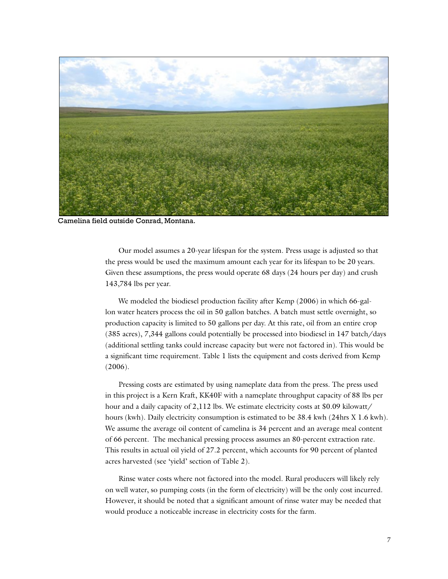

Camelina field outside Conrad, Montana.

Our model assumes a 20-year lifespan for the system. Press usage is adjusted so that the press would be used the maximum amount each year for its lifespan to be 20 years. Given these assumptions, the press would operate 68 days (24 hours per day) and crush 143,784 lbs per year.

We modeled the biodiesel production facility after Kemp (2006) in which 66-gallon water heaters process the oil in 50 gallon batches. A batch must settle overnight, so production capacity is limited to 50 gallons per day. At this rate, oil from an entire crop (385 acres), 7,344 gallons could potentially be processed into biodiesel in 147 batch/days (additional settling tanks could increase capacity but were not factored in). This would be a significant time requirement. Table 1 lists the equipment and costs derived from Kemp (2006).

Pressing costs are estimated by using nameplate data from the press. The press used in this project is a Kern Kraft, KK40F with a nameplate throughput capacity of 88 lbs per hour and a daily capacity of 2,112 lbs. We estimate electricity costs at \$0.09 kilowatt/ hours (kwh). Daily electricity consumption is estimated to be 38.4 kwh (24hrs X 1.6 kwh). We assume the average oil content of camelina is 34 percent and an average meal content of 66 percent. The mechanical pressing process assumes an 80-percent extraction rate. This results in actual oil yield of 27.2 percent, which accounts for 90 percent of planted acres harvested (see 'yield' section of Table 2).

Rinse water costs where not factored into the model. Rural producers will likely rely on well water, so pumping costs (in the form of electricity) will be the only cost incurred. However, it should be noted that a significant amount of rinse water may be needed that would produce a noticeable increase in electricity costs for the farm.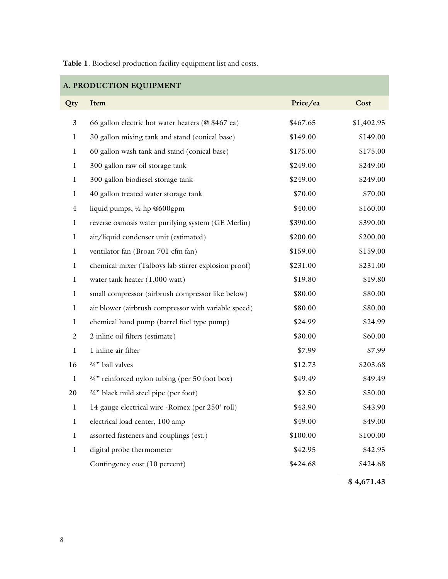**Table 1**. Biodiesel production facility equipment list and costs.

| A. PRODUCTION EQUIPMENT |                                                      |          |            |  |
|-------------------------|------------------------------------------------------|----------|------------|--|
| Qty                     | Item                                                 | Price/ea | Cost       |  |
| $\mathfrak{Z}$          | 66 gallon electric hot water heaters (@ \$467 ea)    | \$467.65 | \$1,402.95 |  |
| 1                       | 30 gallon mixing tank and stand (conical base)       | \$149.00 | \$149.00   |  |
| 1                       | 60 gallon wash tank and stand (conical base)         | \$175.00 | \$175.00   |  |
| 1                       | 300 gallon raw oil storage tank                      | \$249.00 | \$249.00   |  |
| $\bf{l}$                | 300 gallon biodiesel storage tank                    | \$249.00 | \$249.00   |  |
| 1                       | 40 gallon treated water storage tank                 | \$70.00  | \$70.00    |  |
| $\overline{4}$          | liquid pumps, $\frac{1}{2}$ hp @600gpm               | \$40.00  | \$160.00   |  |
| 1                       | reverse osmosis water purifying system (GE Merlin)   | \$390.00 | \$390.00   |  |
| 1                       | air/liquid condenser unit (estimated)                | \$200.00 | \$200.00   |  |
| 1                       | ventilator fan (Broan 701 cfm fan)                   | \$159.00 | \$159.00   |  |
| $\mathbf{1}$            | chemical mixer (Talboys lab stirrer explosion proof) | \$231.00 | \$231.00   |  |
| 1                       | water tank heater $(1,000 \text{ watt})$             | \$19.80  | \$19.80    |  |
| 1                       | small compressor (airbrush compressor like below)    | \$80.00  | \$80.00    |  |
| 1                       | air blower (airbrush compressor with variable speed) | \$80.00  | \$80.00    |  |
| $\mathbf l$             | chemical hand pump (barrel fuel type pump)           | \$24.99  | \$24.99    |  |
| 2                       | 2 inline oil filters (estimate)                      | \$30.00  | \$60.00    |  |
| $\mathbf{I}$            | 1 inline air filter                                  | \$7.99   | \$7.99     |  |
| 16                      | 3/4" ball valves                                     | \$12.73  | \$203.68   |  |
| 1                       | 3/4" reinforced nylon tubing (per 50 foot box)       | \$49.49  | \$49.49    |  |
| 20                      | 3/4" black mild steel pipe (per foot)                | \$2.50   | \$50.00    |  |
| $\mathbf l$             | 14 gauge electrical wire -Romex (per 250' roll)      | \$43.90  | \$43.90    |  |
| 1                       | electrical load center, 100 amp                      | \$49.00  | \$49.00    |  |
| 1                       | assorted fasteners and couplings (est.)              | \$100.00 | \$100.00   |  |
| $\bf{l}$                | digital probe thermometer                            | \$42.95  | \$42.95    |  |
|                         | Contingency cost (10 percent)                        | \$424.68 | \$424.68   |  |
|                         |                                                      |          | \$4,671.43 |  |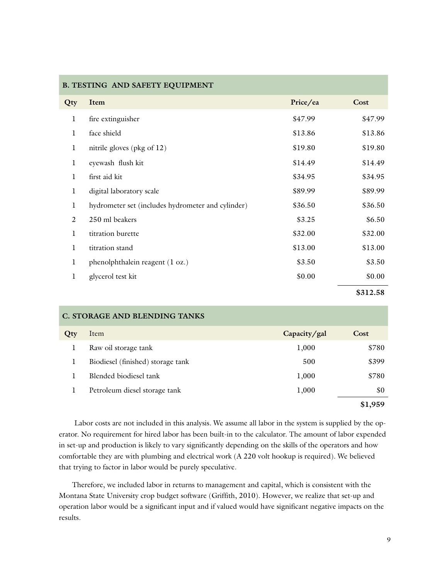|     | <b>B. TESTING AND SAFETY EQUIPMENT</b>            |          |          |
|-----|---------------------------------------------------|----------|----------|
| Qty | Item                                              | Price/ea | Cost     |
| 1   | fire extinguisher                                 | \$47.99  | \$47.99  |
| 1   | face shield                                       | \$13.86  | \$13.86  |
| 1   | nitrile gloves (pkg of 12)                        | \$19.80  | \$19.80  |
| 1   | eyewash flush kit                                 | \$14.49  | \$14.49  |
| 1   | first aid kit                                     | \$34.95  | \$34.95  |
| 1   | digital laboratory scale                          | \$89.99  | \$89.99  |
| 1   | hydrometer set (includes hydrometer and cylinder) | \$36.50  | \$36.50  |
| 2   | 250 ml beakers                                    | \$3.25   | \$6.50   |
| 1   | titration burette                                 | \$32.00  | \$32.00  |
| 1   | titration stand                                   | \$13.00  | \$13.00  |
| 1   | phenolphthalein reagent (1 oz.)                   | \$3.50   | \$3.50   |
| 1   | glycerol test kit                                 | \$0.00   | \$0.00   |
|     |                                                   |          | \$312.58 |

|     | C. STORAGE AND BLENDING TANKS     |              |         |
|-----|-----------------------------------|--------------|---------|
| Qty | Item                              | Capacity/gal | Cost    |
|     | Raw oil storage tank              | 1,000        | \$780   |
|     | Biodiesel (finished) storage tank | 500          | \$399   |
|     | Blended biodiesel tank            | 1,000        | \$780   |
|     | Petroleum diesel storage tank     | 1,000        | \$0     |
|     |                                   |              | \$1,959 |

Labor costs are not included in this analysis. We assume all labor in the system is supplied by the operator. No requirement for hired labor has been built-in to the calculator. The amount of labor expended in set-up and production is likely to vary significantly depending on the skills of the operators and how comfortable they are with plumbing and electrical work (A 220 volt hookup is required). We believed that trying to factor in labor would be purely speculative.

Therefore, we included labor in returns to management and capital, which is consistent with the Montana State University crop budget software (Griffith, 2010). However, we realize that set-up and operation labor would be a significant input and if valued would have significant negative impacts on the results.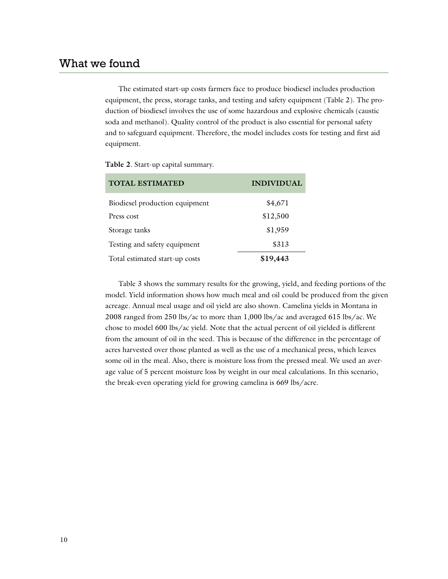The estimated start-up costs farmers face to produce biodiesel includes production equipment, the press, storage tanks, and testing and safety equipment (Table 2). The production of biodiesel involves the use of some hazardous and explosive chemicals (caustic soda and methanol). Quality control of the product is also essential for personal safety and to safeguard equipment. Therefore, the model includes costs for testing and first aid equipment.

|  |  |  | Table 2. Start-up capital summary. |
|--|--|--|------------------------------------|
|--|--|--|------------------------------------|

| <b>TOTAL ESTIMATED</b>         | <b>INDIVIDUAL</b> |
|--------------------------------|-------------------|
| Biodiesel production equipment | \$4,671           |
| Press cost                     | \$12,500          |
| Storage tanks                  | \$1,959           |
| Testing and safety equipment   | \$313             |
| Total estimated start-up costs | \$19,443          |

Table 3 shows the summary results for the growing, yield, and feeding portions of the model. Yield information shows how much meal and oil could be produced from the given acreage. Annual meal usage and oil yield are also shown. Camelina yields in Montana in 2008 ranged from 250 lbs/ac to more than 1,000 lbs/ac and averaged 615 lbs/ac. We chose to model 600 lbs/ac yield. Note that the actual percent of oil yielded is different from the amount of oil in the seed. This is because of the difference in the percentage of acres harvested over those planted as well as the use of a mechanical press, which leaves some oil in the meal. Also, there is moisture loss from the pressed meal. We used an average value of 5 percent moisture loss by weight in our meal calculations. In this scenario, the break-even operating yield for growing camelina is 669 lbs/acre.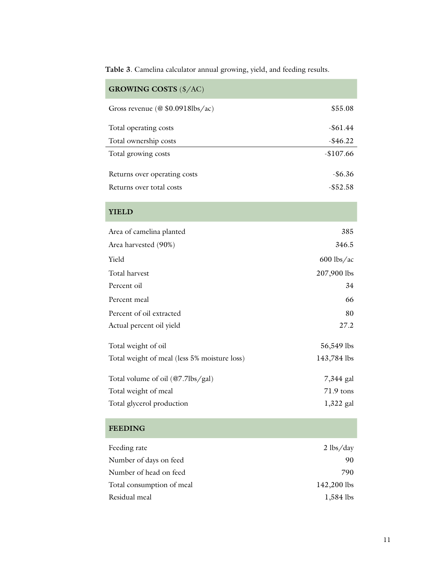**Table 3**. Camelina calculator annual growing, yield, and feeding results.

| <b>GROWING COSTS (\$/AC)</b>                 |              |
|----------------------------------------------|--------------|
| Gross revenue (@ \$0.0918lbs/ac)             | \$55.08      |
| Total operating costs                        | $-$ \$61.44  |
| Total ownership costs                        | $-$ \$46.22  |
| Total growing costs                          | $-$107.66$   |
| Returns over operating costs                 | $-$ \$6.36   |
| Returns over total costs                     | $-$ \$52.58  |
| <b>YIELD</b>                                 |              |
| Area of camelina planted                     | 385          |
| Area harvested (90%)                         | 346.5        |
| Yield                                        | $600$ lbs/ac |
| Total harvest                                | 207,900 lbs  |
| Percent oil                                  | 34           |
| Percent meal                                 | 66           |
| Percent of oil extracted                     | 80           |
| Actual percent oil yield                     | 27.2         |
| Total weight of oil                          | 56,549 lbs   |
| Total weight of meal (less 5% moisture loss) | 143,784 lbs  |
| Total volume of oil (@7.7lbs/gal)            | 7,344 gal    |
| Total weight of meal                         | 71.9 tons    |
| Total glycerol production                    | 1,322 gal    |
|                                              |              |

#### **Feeding**

| Feeding rate              | $2 \frac{\text{ls}}{\text{day}}$ |
|---------------------------|----------------------------------|
| Number of days on feed    | 90                               |
| Number of head on feed    | 790                              |
| Total consumption of meal | 142,200 lbs                      |
| Residual meal             | 1,584 lbs                        |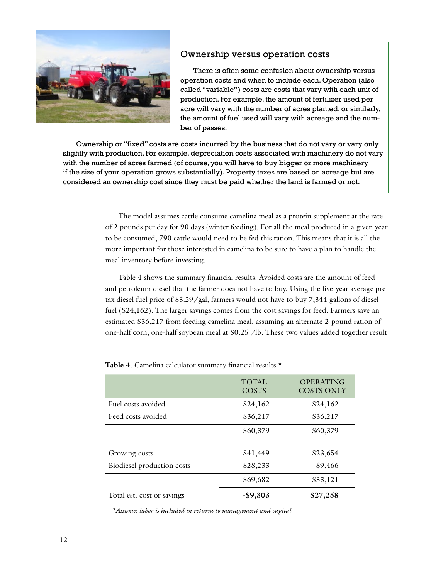

#### Ownership versus operation costs

There is often some confusion about ownership versus operation costs and when to include each. Operation (also called "variable") costs are costs that vary with each unit of production. For example, the amount of fertilizer used per acre will vary with the number of acres planted, or similarly, the amount of fuel used will vary with acreage and the number of passes.

Ownership or "fixed" costs are costs incurred by the business that do not vary or vary only slightly with production. For example, depreciation costs associated with machinery do not vary with the number of acres farmed (of course, you will have to buy bigger or more machinery if the size of your operation grows substantially). Property taxes are based on acreage but are considered an ownership cost since they must be paid whether the land is farmed or not.

> The model assumes cattle consume camelina meal as a protein supplement at the rate of 2 pounds per day for 90 days (winter feeding). For all the meal produced in a given year to be consumed, 790 cattle would need to be fed this ration. This means that it is all the more important for those interested in camelina to be sure to have a plan to handle the meal inventory before investing.

> Table 4 shows the summary financial results. Avoided costs are the amount of feed and petroleum diesel that the farmer does not have to buy. Using the five-year average pretax diesel fuel price of \$3.29/gal, farmers would not have to buy 7,344 gallons of diesel fuel (\$24,162). The larger savings comes from the cost savings for feed. Farmers save an estimated \$36,217 from feeding camelina meal, assuming an alternate 2-pound ration of one-half corn, one-half soybean meal at \$0.25 /lb. These two values added together result

|                            | <b>TOTAL</b><br><b>COSTS</b> | <b>OPERATING</b><br><b>COSTS ONLY</b> |
|----------------------------|------------------------------|---------------------------------------|
| Fuel costs avoided         | \$24,162                     | \$24,162                              |
| Feed costs avoided         | \$36,217                     | \$36,217                              |
|                            | \$60,379                     | \$60,379                              |
| Growing costs              | \$41,449                     | \$23,654                              |
| Biodiesel production costs | \$28,233                     | \$9,466                               |
|                            | \$69,682                     | \$33,121                              |
| Total est. cost or savings | $-$9,303$                    | \$27,258                              |

**Table 4**. Camelina calculator summary financial results.\*

*\*Assumes labor is included in returns to management and capital*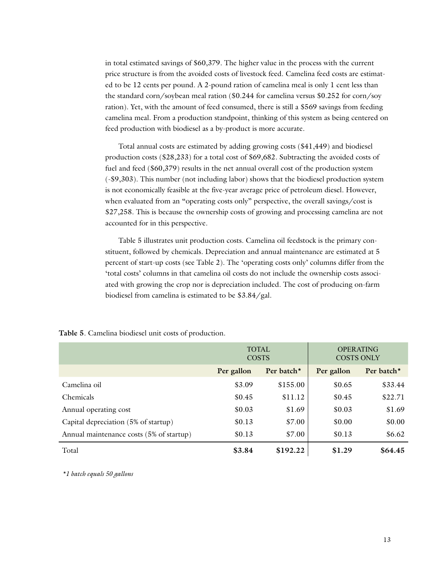in total estimated savings of \$60,379. The higher value in the process with the current price structure is from the avoided costs of livestock feed. Camelina feed costs are estimated to be 12 cents per pound. A 2-pound ration of camelina meal is only 1 cent less than the standard corn/soybean meal ration (\$0.244 for camelina versus \$0.252 for corn/soy ration). Yet, with the amount of feed consumed, there is still a \$569 savings from feeding camelina meal. From a production standpoint, thinking of this system as being centered on feed production with biodiesel as a by-product is more accurate.

Total annual costs are estimated by adding growing costs (\$41,449) and biodiesel production costs (\$28,233) for a total cost of \$69,682. Subtracting the avoided costs of fuel and feed (\$60,379) results in the net annual overall cost of the production system (-\$9,303). This number (not including labor) shows that the biodiesel production system is not economically feasible at the five-year average price of petroleum diesel. However, when evaluated from an "operating costs only" perspective, the overall savings/cost is \$27,258. This is because the ownership costs of growing and processing camelina are not accounted for in this perspective.

Table 5 illustrates unit production costs. Camelina oil feedstock is the primary constituent, followed by chemicals. Depreciation and annual maintenance are estimated at 5 percent of start-up costs (see Table 2). The 'operating costs only' columns differ from the 'total costs' columns in that camelina oil costs do not include the ownership costs associated with growing the crop nor is depreciation included. The cost of producing on-farm biodiesel from camelina is estimated to be \$3.84/gal.

|                                          | <b>TOTAL</b><br><b>COSTS</b> |            | <b>OPERATING</b><br><b>COSTS ONLY</b> |            |
|------------------------------------------|------------------------------|------------|---------------------------------------|------------|
|                                          | Per gallon                   | Per batch* | Per gallon                            | Per batch* |
| Camelina oil                             | \$3.09                       | \$155.00   | \$0.65                                | \$33.44    |
| <b>Chemicals</b>                         | \$0.45                       | \$11.12    | \$0.45                                | \$22.71    |
| Annual operating cost                    | \$0.03                       | \$1.69     | \$0.03                                | \$1.69     |
| Capital depreciation (5% of startup)     | \$0.13                       | \$7.00     | \$0.00                                | \$0.00     |
| Annual maintenance costs (5% of startup) | \$0.13                       | \$7.00     | \$0.13                                | \$6.62     |
| Total                                    | \$3.84                       | \$192.22   | \$1.29                                | \$64.45    |

**Table 5**. Camelina biodiesel unit costs of production.

*\*1 batch equals 50 gallons*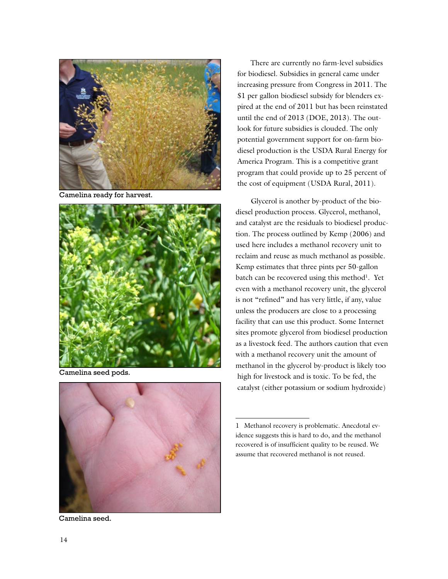

Camelina ready for harvest.



Camelina seed pods.



Camelina seed.

There are currently no farm-level subsidies for biodiesel. Subsidies in general came under increasing pressure from Congress in 2011. The \$1 per gallon biodiesel subsidy for blenders expired at the end of 2011 but has been reinstated until the end of 2013 (DOE, 2013). The outlook for future subsidies is clouded. The only potential government support for on-farm biodiesel production is the USDA Rural Energy for America Program. This is a competitive grant program that could provide up to 25 percent of the cost of equipment (USDA Rural, 2011).

 Glycerol is another by-product of the biodiesel production process. Glycerol, methanol, and catalyst are the residuals to biodiesel production. The process outlined by Kemp (2006) and used here includes a methanol recovery unit to reclaim and reuse as much methanol as possible. Kemp estimates that three pints per 50-gallon batch can be recovered using this method<sup>1</sup>. Yet even with a methanol recovery unit, the glycerol is not "refined" and has very little, if any, value unless the producers are close to a processing facility that can use this product. Some Internet sites promote glycerol from biodiesel production as a livestock feed. The authors caution that even with a methanol recovery unit the amount of methanol in the glycerol by-product is likely too high for livestock and is toxic. To be fed, the catalyst (either potassium or sodium hydroxide)

<sup>1</sup> Methanol recovery is problematic. Anecdotal evidence suggests this is hard to do, and the methanol recovered is of insufficient quality to be reused. We assume that recovered methanol is not reused.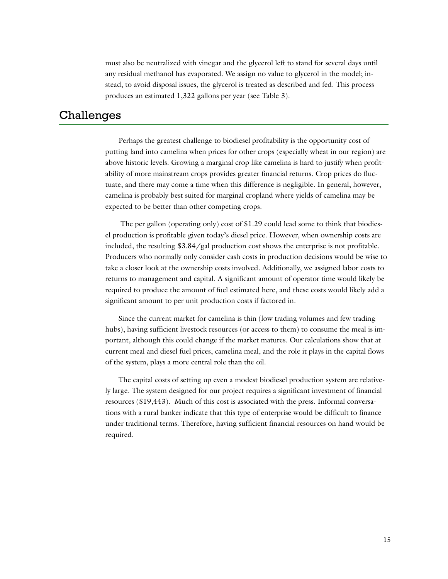must also be neutralized with vinegar and the glycerol left to stand for several days until any residual methanol has evaporated. We assign no value to glycerol in the model; instead, to avoid disposal issues, the glycerol is treated as described and fed. This process produces an estimated 1,322 gallons per year (see Table 3).

### Challenges

Perhaps the greatest challenge to biodiesel profitability is the opportunity cost of putting land into camelina when prices for other crops (especially wheat in our region) are above historic levels. Growing a marginal crop like camelina is hard to justify when profitability of more mainstream crops provides greater financial returns. Crop prices do fluctuate, and there may come a time when this difference is negligible. In general, however, camelina is probably best suited for marginal cropland where yields of camelina may be expected to be better than other competing crops.

 The per gallon (operating only) cost of \$1.29 could lead some to think that biodiesel production is profitable given today's diesel price. However, when ownership costs are included, the resulting \$3.84/gal production cost shows the enterprise is not profitable. Producers who normally only consider cash costs in production decisions would be wise to take a closer look at the ownership costs involved. Additionally, we assigned labor costs to returns to management and capital. A significant amount of operator time would likely be required to produce the amount of fuel estimated here, and these costs would likely add a significant amount to per unit production costs if factored in.

Since the current market for camelina is thin (low trading volumes and few trading hubs), having sufficient livestock resources (or access to them) to consume the meal is important, although this could change if the market matures. Our calculations show that at current meal and diesel fuel prices, camelina meal, and the role it plays in the capital flows of the system, plays a more central role than the oil.

The capital costs of setting up even a modest biodiesel production system are relatively large. The system designed for our project requires a significant investment of financial resources (\$19,443). Much of this cost is associated with the press. Informal conversations with a rural banker indicate that this type of enterprise would be difficult to finance under traditional terms. Therefore, having sufficient financial resources on hand would be required.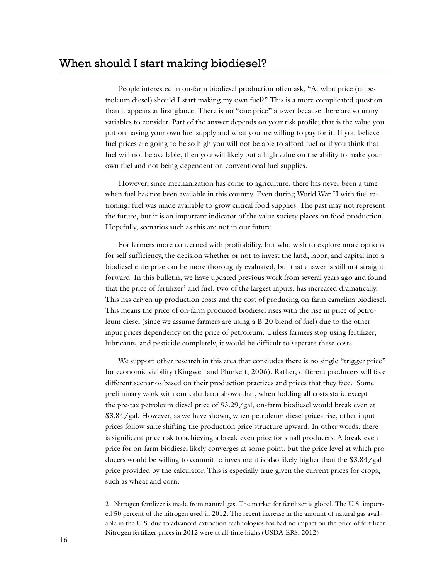People interested in on-farm biodiesel production often ask, "At what price (of petroleum diesel) should I start making my own fuel?" This is a more complicated question than it appears at first glance. There is no "one price" answer because there are so many variables to consider. Part of the answer depends on your risk profile; that is the value you put on having your own fuel supply and what you are willing to pay for it. If you believe fuel prices are going to be so high you will not be able to afford fuel or if you think that fuel will not be available, then you will likely put a high value on the ability to make your own fuel and not being dependent on conventional fuel supplies.

However, since mechanization has come to agriculture, there has never been a time when fuel has not been available in this country. Even during World War II with fuel rationing, fuel was made available to grow critical food supplies. The past may not represent the future, but it is an important indicator of the value society places on food production. Hopefully, scenarios such as this are not in our future.

For farmers more concerned with profitability, but who wish to explore more options for self-sufficiency, the decision whether or not to invest the land, labor, and capital into a biodiesel enterprise can be more thoroughly evaluated, but that answer is still not straightforward. In this bulletin, we have updated previous work from several years ago and found that the price of fertilizer<sup>2</sup> and fuel, two of the largest inputs, has increased dramatically. This has driven up production costs and the cost of producing on-farm camelina biodiesel. This means the price of on-farm produced biodiesel rises with the rise in price of petroleum diesel (since we assume farmers are using a B-20 blend of fuel) due to the other input prices dependency on the price of petroleum. Unless farmers stop using fertilizer, lubricants, and pesticide completely, it would be difficult to separate these costs.

We support other research in this area that concludes there is no single "trigger price" for economic viability (Kingwell and Plunkett, 2006). Rather, different producers will face different scenarios based on their production practices and prices that they face. Some preliminary work with our calculator shows that, when holding all costs static except the pre-tax petroleum diesel price of \$3.29/gal, on-farm biodiesel would break even at \$3.84/gal. However, as we have shown, when petroleum diesel prices rise, other input prices follow suite shifting the production price structure upward. In other words, there is significant price risk to achieving a break-even price for small producers. A break-even price for on-farm biodiesel likely converges at some point, but the price level at which producers would be willing to commit to investment is also likely higher than the \$3.84/gal price provided by the calculator. This is especially true given the current prices for crops, such as wheat and corn.

<sup>2</sup> Nitrogen fertilizer is made from natural gas. The market for fertilizer is global. The U.S. imported 50 percent of the nitrogen used in 2012. The recent increase in the amount of natural gas available in the U.S. due to advanced extraction technologies has had no impact on the price of fertilizer. Nitrogen fertilizer prices in 2012 were at all-time highs (USDA-ERS, 2012)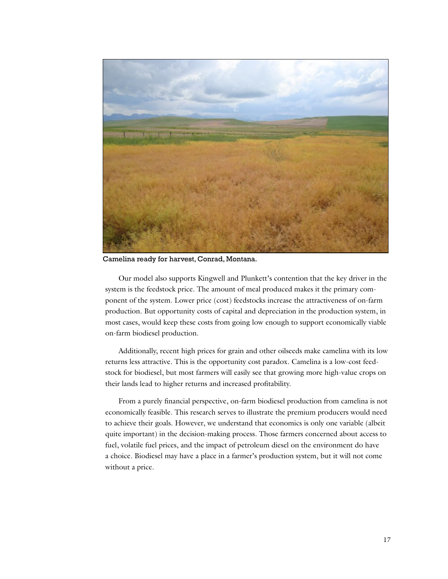

Camelina ready for harvest, Conrad, Montana.

Our model also supports Kingwell and Plunkett's contention that the key driver in the system is the feedstock price. The amount of meal produced makes it the primary component of the system. Lower price (cost) feedstocks increase the attractiveness of on-farm production. But opportunity costs of capital and depreciation in the production system, in most cases, would keep these costs from going low enough to support economically viable on-farm biodiesel production.

Additionally, recent high prices for grain and other oilseeds make camelina with its low returns less attractive. This is the opportunity cost paradox. Camelina is a low-cost feedstock for biodiesel, but most farmers will easily see that growing more high-value crops on their lands lead to higher returns and increased profitability.

From a purely financial perspective, on-farm biodiesel production from camelina is not economically feasible. This research serves to illustrate the premium producers would need to achieve their goals. However, we understand that economics is only one variable (albeit quite important) in the decision-making process. Those farmers concerned about access to fuel, volatile fuel prices, and the impact of petroleum diesel on the environment do have a choice. Biodiesel may have a place in a farmer's production system, but it will not come without a price.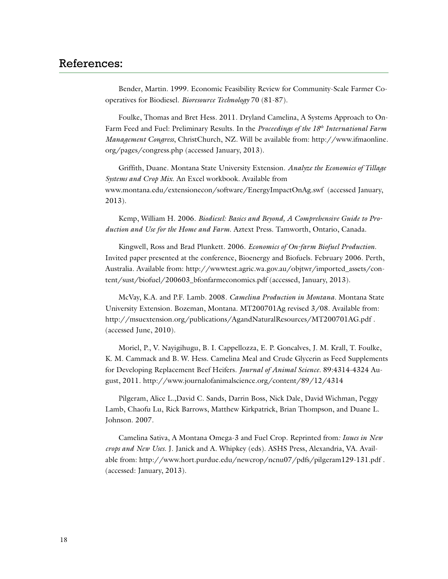Bender, Martin. 1999. Economic Feasibility Review for Community-Scale Farmer Cooperatives for Biodiesel. *Bioresource Technology* 70 (81-87).

Foulke, Thomas and Bret Hess. 2011. Dryland Camelina, A Systems Approach to On-Farm Feed and Fuel: Preliminary Results. In the *Proceedings of the 18th International Farm Management Congress*, ChristChurch, NZ. Will be available from: [http://www.ifmaonline.](http://www.ifmaonline.org/pages/congress.php) [org/pages/congress.php](http://www.ifmaonline.org/pages/congress.php) (accessed January, 2013).

Griffith, Duane. Montana State University Extension. *Analyze the Economics of Tillage Systems and Crop Mix*. An Excel workbook. Available from [www.montana.edu/extensionecon/software/EnergyImpactOnAg.swf](http://www.montana.edu/extensionecon/software/EnergyImpactOnAg.swf) (accessed January, 2013).

Kemp, William H. 2006. *Biodiesel: Basics and Beyond, A Comprehensive Guide to Production and Use for the Home and Farm*. Aztext Press. Tamworth, Ontario, Canada.

Kingwell, Ross and Brad Plunkett. 2006. *Economics of On-farm Biofuel Production*. Invited paper presented at the conference, Bioenergy and Biofuels. February 2006. Perth, Australia. Available from: [http://wwwtest.agric.wa.gov.au/objtwr/imported\\_assets/con](http://wwwtest.agric.wa.gov.au/objtwr/imported_assets/content/sust/biofuel/200603_bfonfarmeconomics.pdf)[tent/sust/biofuel/200603\\_bfonfarmeconomics.pdf](http://wwwtest.agric.wa.gov.au/objtwr/imported_assets/content/sust/biofuel/200603_bfonfarmeconomics.pdf) (accessed, January, 2013).

McVay, K.A. and P.F. Lamb. 2008. *Camelina Production in Montana*. Montana State University Extension. Bozeman, Montana. MT200701Ag revised 3/08. Available from: <http://msuextension.org/publications/AgandNaturalResources/MT200701AG.pdf>. (accessed June, 2010).

Moriel, P., V. Nayigihugu, B. I. Cappellozza, E. P. Goncalves, J. M. Krall, T. Foulke, K. M. Cammack and B. W. Hess. Camelina Meal and Crude Glycerin as Feed Supplements for Developing Replacement Beef Heifers. *Journal of Animal Science*. 89:4314-4324 August, 2011. <http://www.journalofanimalscience.org/content/89/12/4314>

Pilgeram, Alice L.,David C. Sands, Darrin Boss, Nick Dale, David Wichman, Peggy Lamb, Chaofu Lu, Rick Barrows, Matthew Kirkpatrick, Brian Thompson, and Duane L. Johnson. 2007.

Camelina Sativa, A Montana Omega-3 and Fuel Crop. Reprinted from*: Issues in New crops and New Uses*. J. Janick and A. Whipkey (eds). ASHS Press, Alexandria, VA. Available from:<http://www.hort.purdue.edu/newcrop/ncnu07/pdfs/pilgeram129-131.pdf>. (accessed: January, 2013).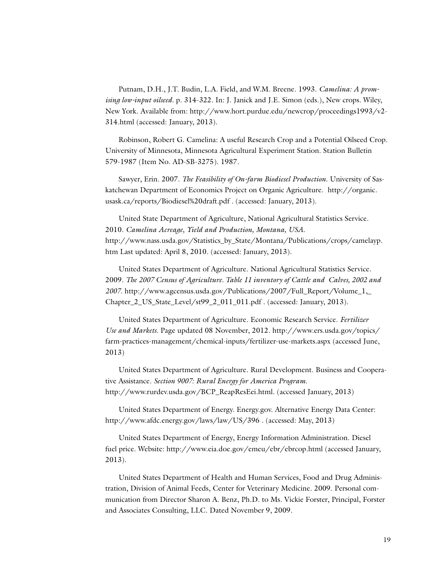Putnam, D.H., J.T. Budin, L.A. Field, and W.M. Breene. 1993. *Camelina: A promising low-input oilseed*. p. 314-322. In: J. Janick and J.E. Simon (eds.), New crops. Wiley, New York. Available from: [http://www.hort.purdue.edu/newcrop/proceedings1993/v2-](http://www.hort.purdue.edu/newcrop/proceedings1993/v2-314.html) [314.html](http://www.hort.purdue.edu/newcrop/proceedings1993/v2-314.html) (accessed: January, 2013).

Robinson, Robert G. Camelina: A useful Research Crop and a Potential Oilseed Crop. University of Minnesota, Minnesota Agricultural Experiment Station. Station Bulletin 579-1987 (Item No. AD-SB-3275). 1987.

Sawyer, Erin. 2007. *The Feasibility of On-farm Biodiesel Production*. University of Saskatchewan Department of Economics Project on Organic Agriculture. [http://organic.](http://organic.usask.ca/reports/Biodiesel%20draft.pdf) [usask.ca/reports/Biodiesel%20draft.pdf](http://organic.usask.ca/reports/Biodiesel%20draft.pdf) . (accessed: January, 2013).

United State Department of Agriculture, National Agricultural Statistics Service. 2010. *Camelina Acreage, Yield and Production, Montana, USA*. [http://www.nass.usda.gov/Statistics\\_by\\_State/Montana/Publications/crops/camelayp.](http://www.nass.usda.gov/Statistics_by_State/Montana/Publications/crops/camelayp.htm) [htm](http://www.nass.usda.gov/Statistics_by_State/Montana/Publications/crops/camelayp.htm) Last updated: April 8, 2010. (accessed: January, 2013).

United States Department of Agriculture. National Agricultural Statistics Service. 2009. *The 2007 Census of Agriculture. Table 11 inventory of Cattle and Calves, 2002 and 2007*. [http://www.agcensus.usda.gov/Publications/2007/Full\\_Report/Volume\\_1,\\_](http://www.agcensus.usda.gov/Publications/2007/Full_Report/Volume_1,_Chapter_2_US_State_Level/st99_2_011_011.pdf) [Chapter\\_2\\_US\\_State\\_Level/st99\\_2\\_011\\_011.pdf](http://www.agcensus.usda.gov/Publications/2007/Full_Report/Volume_1,_Chapter_2_US_State_Level/st99_2_011_011.pdf) . (accessed: January, 2013).

United States Department of Agriculture. Economic Research Service. *Fertilizer Use and Markets*. Page updated 08 November, 2012. [http://www.ers.usda.gov/topics/](http://www.ers.usda.gov/topics/farm-practices-management/chemical-inputs/fertilizer-use-markets.aspx) [farm-practices-management/chemical-inputs/fertilizer-use-markets.aspx](http://www.ers.usda.gov/topics/farm-practices-management/chemical-inputs/fertilizer-use-markets.aspx) (accessed June, 2013)

United States Department of Agriculture. Rural Development. Business and Cooperative Assistance. *Section 9007: Rural Energy for America Program*. [http://www.rurdev.usda.gov/BCP\\_ReapResEei.html.](http://www.rurdev.usda.gov/BCP_ReapResEei.html) (accessed January, 2013)

United States Department of Energy. Energy.gov. Alternative Energy Data Center: <http://www.afdc.energy.gov/laws/law/US/396>. (accessed: May, 2013)

United States Department of Energy, Energy Information Administration. Diesel fuel price. Website: <http://www.eia.doe.gov/emeu/ebr/ebrcop.html> (accessed January, 2013).

United States Department of Health and Human Services, Food and Drug Administration, Division of Animal Feeds, Center for Veterinary Medicine. 2009. Personal communication from Director Sharon A. Benz, Ph.D. to Ms. Vickie Forster, Principal, Forster and Associates Consulting, LLC. Dated November 9, 2009.